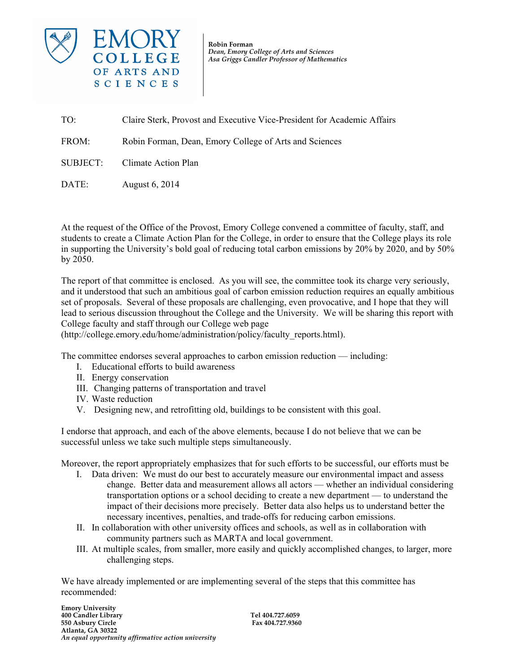

*Dean, Emory College of Arts and Sciences* **Robin Forman** *Asa Griggs Candler Professor of Mathematics*

TO: Claire Sterk, Provost and Executive Vice-President for Academic Affairs FROM: Robin Forman, Dean, Emory College of Arts and Sciences SUBJECT: Climate Action Plan

DATE: August 6, 2014

At the request of the Office of the Provost, Emory College convened a committee of faculty, staff, and students to create a Climate Action Plan for the College, in order to ensure that the College plays its role in supporting the University's bold goal of reducing total carbon emissions by 20% by 2020, and by 50% by 2050.

The report of that committee is enclosed. As you will see, the committee took its charge very seriously, and it understood that such an ambitious goal of carbon emission reduction requires an equally ambitious set of proposals. Several of these proposals are challenging, even provocative, and I hope that they will lead to serious discussion throughout the College and the University. We will be sharing this report with College faculty and staff through our College web page

(http://college.emory.edu/home/administration/policy/faculty\_reports.html).

The committee endorses several approaches to carbon emission reduction — including:

- I. Educational efforts to build awareness
- II. Energy conservation
- III. Changing patterns of transportation and travel
- IV. Waste reduction
- V. Designing new, and retrofitting old, buildings to be consistent with this goal.

I endorse that approach, and each of the above elements, because I do not believe that we can be successful unless we take such multiple steps simultaneously.

Moreover, the report appropriately emphasizes that for such efforts to be successful, our efforts must be

- I. Data driven: We must do our best to accurately measure our environmental impact and assess change. Better data and measurement allows all actors — whether an individual considering transportation options or a school deciding to create a new department — to understand the impact of their decisions more precisely. Better data also helps us to understand better the necessary incentives, penalties, and trade-offs for reducing carbon emissions.
- II. In collaboration with other university offices and schools, as well as in collaboration with community partners such as MARTA and local government.
- III. At multiple scales, from smaller, more easily and quickly accomplished changes, to larger, more challenging steps.

We have already implemented or are implementing several of the steps that this committee has recommended: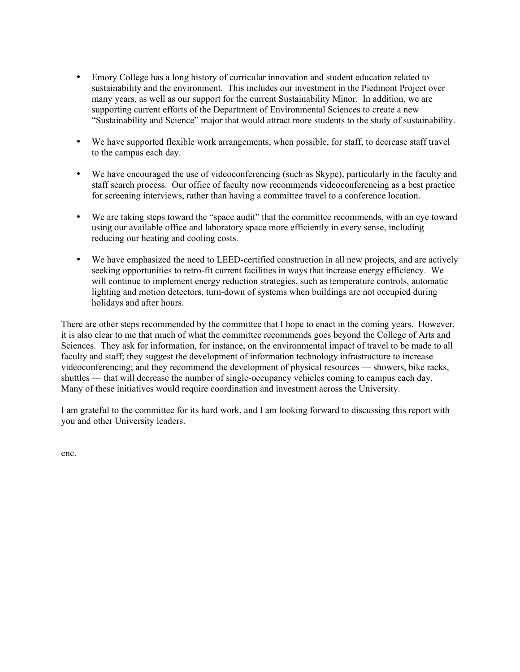- Emory College has a long history of curricular innovation and student education related to sustainability and the environment. This includes our investment in the Piedmont Project over many years, as well as our support for the current Sustainability Minor. In addition, we are supporting current efforts of the Department of Environmental Sciences to create a new "Sustainability and Science" major that would attract more students to the study of sustainability.
- We have supported flexible work arrangements, when possible, for staff, to decrease staff travel to the campus each day.
- We have encouraged the use of videoconferencing (such as Skype), particularly in the faculty and staff search process. Our office of faculty now recommends videoconferencing as a best practice for screening interviews, rather than having a committee travel to a conference location.
- We are taking steps toward the "space audit" that the committee recommends, with an eye toward using our available office and laboratory space more efficiently in every sense, including reducing our heating and cooling costs.
- We have emphasized the need to LEED-certified construction in all new projects, and are actively seeking opportunities to retro-fit current facilities in ways that increase energy efficiency. We will continue to implement energy reduction strategies, such as temperature controls, automatic lighting and motion detectors, turn-down of systems when buildings are not occupied during holidays and after hours.

There are other steps recommended by the committee that I hope to enact in the coming years. However, it is also clear to me that much of what the committee recommends goes beyond the College of Arts and Sciences. They ask for information, for instance, on the environmental impact of travel to be made to all faculty and staff; they suggest the development of information technology infrastructure to increase videoconferencing; and they recommend the development of physical resources — showers, bike racks, shuttles — that will decrease the number of single-occupancy vehicles coming to campus each day. Many of these initiatives would require coordination and investment across the University.

I am grateful to the committee for its hard work, and I am looking forward to discussing this report with you and other University leaders.

enc.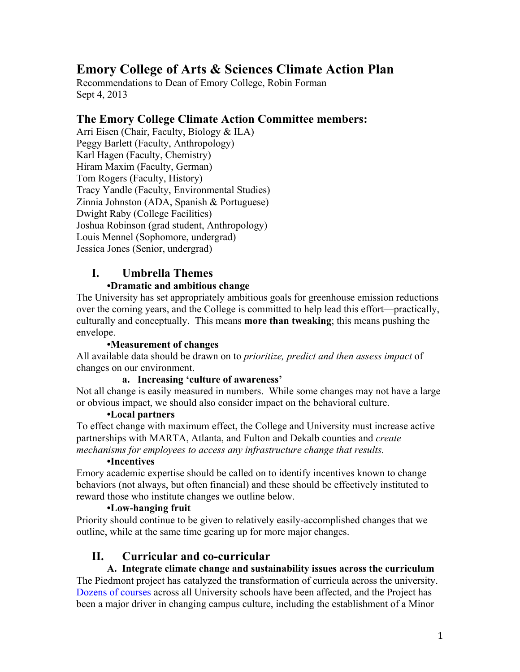# **Emory College of Arts & Sciences Climate Action Plan**

Recommendations to Dean of Emory College, Robin Forman Sept 4, 2013

### **The Emory College Climate Action Committee members:**

Arri Eisen (Chair, Faculty, Biology & ILA) Peggy Barlett (Faculty, Anthropology) Karl Hagen (Faculty, Chemistry) Hiram Maxim (Faculty, German) Tom Rogers (Faculty, History) Tracy Yandle (Faculty, Environmental Studies) Zinnia Johnston (ADA, Spanish & Portuguese) Dwight Raby (College Facilities) Joshua Robinson (grad student, Anthropology) Louis Mennel (Sophomore, undergrad) Jessica Jones (Senior, undergrad)

# **I. Umbrella Themes**

#### **•Dramatic and ambitious change**

The University has set appropriately ambitious goals for greenhouse emission reductions over the coming years, and the College is committed to help lead this effort—practically, culturally and conceptually. This means **more than tweaking**; this means pushing the envelope.

#### **•Measurement of changes**

All available data should be drawn on to *prioritize, predict and then assess impact* of changes on our environment.

#### **a. Increasing 'culture of awareness'**

Not all change is easily measured in numbers. While some changes may not have a large or obvious impact, we should also consider impact on the behavioral culture.

#### **•Local partners**

To effect change with maximum effect, the College and University must increase active partnerships with MARTA, Atlanta, and Fulton and Dekalb counties and *create mechanisms for employees to access any infrastructure change that results.*

#### **•Incentives**

Emory academic expertise should be called on to identify incentives known to change behaviors (not always, but often financial) and these should be effectively instituted to reward those who institute changes we outline below.

#### **•Low-hanging fruit**

Priority should continue to be given to relatively easily-accomplished changes that we outline, while at the same time gearing up for more major changes.

# **II. Curricular and co-curricular**

# **A. Integrate climate change and sustainability issues across the curriculum**

The Piedmont project has catalyzed the transformation of curricula across the university. Dozens of courses across all University schools have been affected, and the Project has been a major driver in changing campus culture, including the establishment of a Minor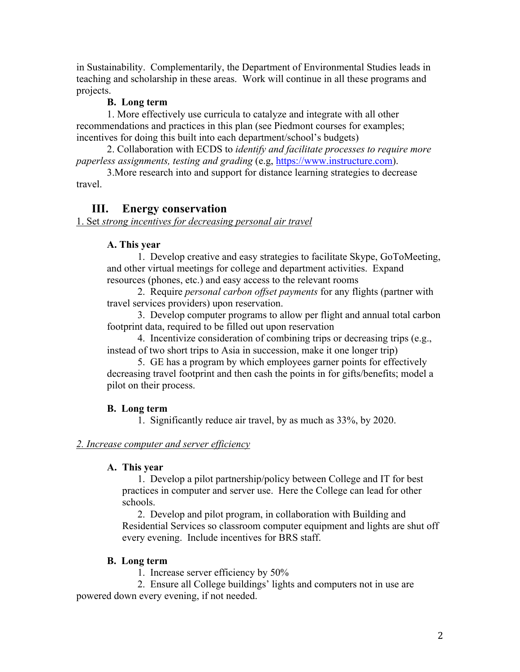in Sustainability. Complementarily, the Department of Environmental Studies leads in teaching and scholarship in these areas. Work will continue in all these programs and projects.

#### **B. Long term**

1. More effectively use curricula to catalyze and integrate with all other recommendations and practices in this plan (see Piedmont courses for examples; incentives for doing this built into each department/school's budgets)

2. Collaboration with ECDS to *identify and facilitate processes to require more paperless assignments, testing and grading* (e.g, https://www.instructure.com).

3.More research into and support for distance learning strategies to decrease travel.

### **III. Energy conservation**

1. Set *strong incentives for decreasing personal air travel*

#### **A. This year**

1. Develop creative and easy strategies to facilitate Skype, GoToMeeting, and other virtual meetings for college and department activities. Expand resources (phones, etc.) and easy access to the relevant rooms

2. Require *personal carbon offset payments* for any flights (partner with travel services providers) upon reservation.

3. Develop computer programs to allow per flight and annual total carbon footprint data, required to be filled out upon reservation

4. Incentivize consideration of combining trips or decreasing trips (e.g., instead of two short trips to Asia in succession, make it one longer trip)

5. GE has a program by which employees garner points for effectively decreasing travel footprint and then cash the points in for gifts/benefits; model a pilot on their process.

### **B. Long term**

1. Significantly reduce air travel, by as much as 33%, by 2020.

#### *2. Increase computer and server efficiency*

#### **A. This year**

1. Develop a pilot partnership/policy between College and IT for best practices in computer and server use. Here the College can lead for other schools.

2. Develop and pilot program, in collaboration with Building and Residential Services so classroom computer equipment and lights are shut off every evening. Include incentives for BRS staff.

#### **B. Long term**

1. Increase server efficiency by 50%

2. Ensure all College buildings' lights and computers not in use are powered down every evening, if not needed.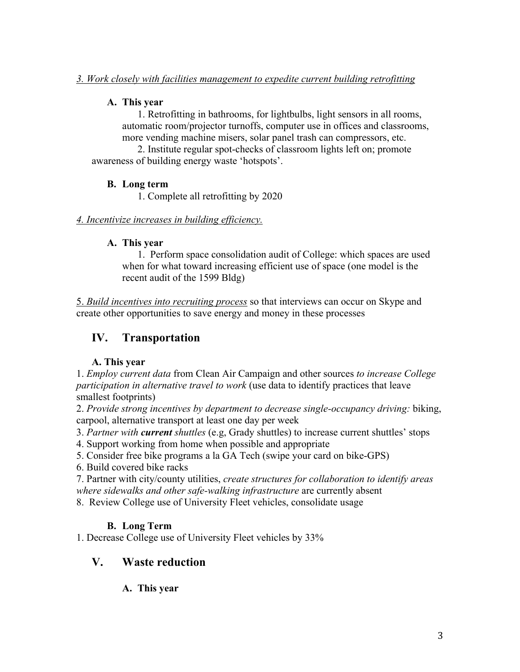### **A. This year**

1. Retrofitting in bathrooms, for lightbulbs, light sensors in all rooms, automatic room/projector turnoffs, computer use in offices and classrooms, more vending machine misers, solar panel trash can compressors, etc.

2. Institute regular spot-checks of classroom lights left on; promote awareness of building energy waste 'hotspots'.

### **B. Long term**

1. Complete all retrofitting by 2020

### *4. Incentivize increases in building efficiency.*

### **A. This year**

1. Perform space consolidation audit of College: which spaces are used when for what toward increasing efficient use of space (one model is the recent audit of the 1599 Bldg)

5. *Build incentives into recruiting process* so that interviews can occur on Skype and create other opportunities to save energy and money in these processes

# **IV. Transportation**

# **A. This year**

1. *Employ current data* from Clean Air Campaign and other sources *to increase College participation in alternative travel to work* (use data to identify practices that leave smallest footprints)

2. *Provide strong incentives by department to decrease single-occupancy driving:* biking, carpool, alternative transport at least one day per week

3. *Partner with current shuttles* (e.g, Grady shuttles) to increase current shuttles' stops

4. Support working from home when possible and appropriate

5. Consider free bike programs a la GA Tech (swipe your card on bike-GPS)

6. Build covered bike racks

7. Partner with city/county utilities, *create structures for collaboration to identify areas where sidewalks and other safe-walking infrastructure* are currently absent

8. Review College use of University Fleet vehicles, consolidate usage

# **B. Long Term**

1. Decrease College use of University Fleet vehicles by 33%

# **V. Waste reduction**

### **A. This year**